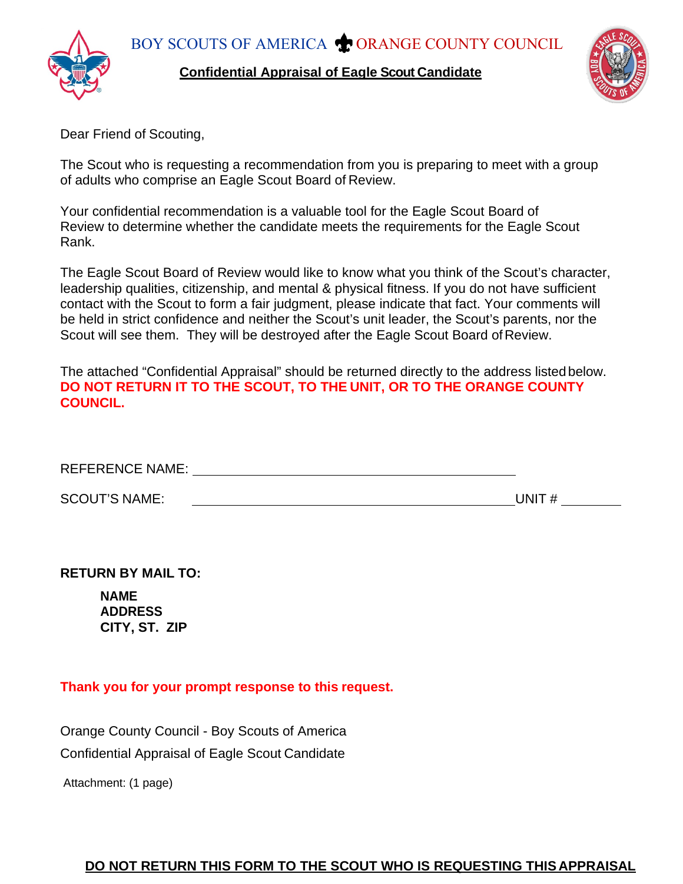**Confidential Appraisal of Eagle Scout Candidate**



Dear Friend of Scouting,

The Scout who is requesting a recommendation from you is preparing to meet with a group of adults who comprise an Eagle Scout Board of Review.

Your confidential recommendation is a valuable tool for the Eagle Scout Board of Review to determine whether the candidate meets the requirements for the Eagle Scout Rank.

The Eagle Scout Board of Review would like to know what you think of the Scout's character, leadership qualities, citizenship, and mental & physical fitness. If you do not have sufficient contact with the Scout to form a fair judgment, please indicate that fact. Your comments will be held in strict confidence and neither the Scout's unit leader, the Scout's parents, nor the Scout will see them. They will be destroyed after the Eagle Scout Board of Review.

The attached "Confidential Appraisal" should be returned directly to the address listedbelow. **DO NOT RETURN IT TO THE SCOUT, TO THE UNIT, OR TO THE ORANGE COUNTY COUNCIL.**

REFERENCE NAME:

SCOUT'S NAME: UNIT #

**RETURN BY MAIL TO:**

**NAME ADDRESS CITY, ST. ZIP**

**Thank you for your prompt response to this request.**

Orange County Council - Boy Scouts of America Confidential Appraisal of Eagle Scout Candidate

Attachment: (1 page)

## **DO NOT RETURN THIS FORM TO THE SCOUT WHO IS REQUESTING THIS APPRAISAL**